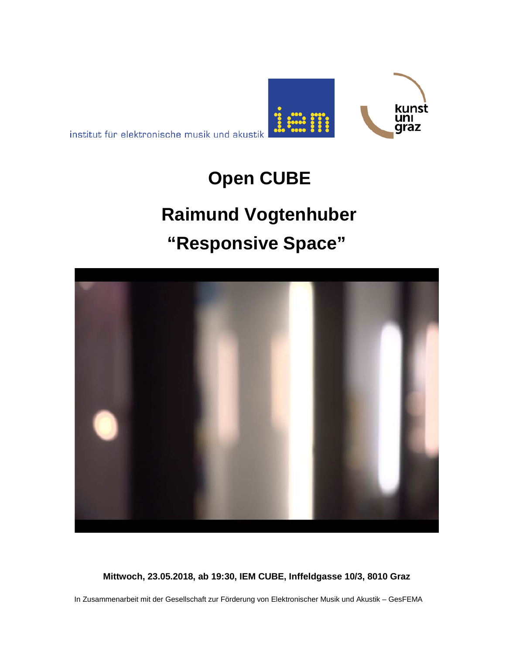



## **Open CUBE**

# **Raimund Vogtenhuber "Responsive Space"**



**Mittwoch, 23.05.2018, ab 19:30, IEM CUBE, Inffeldgasse 10/3, 8010 Graz**

In Zusammenarbeit mit der Gesellschaft zur Förderung von Elektronischer Musik und Akustik – GesFEMA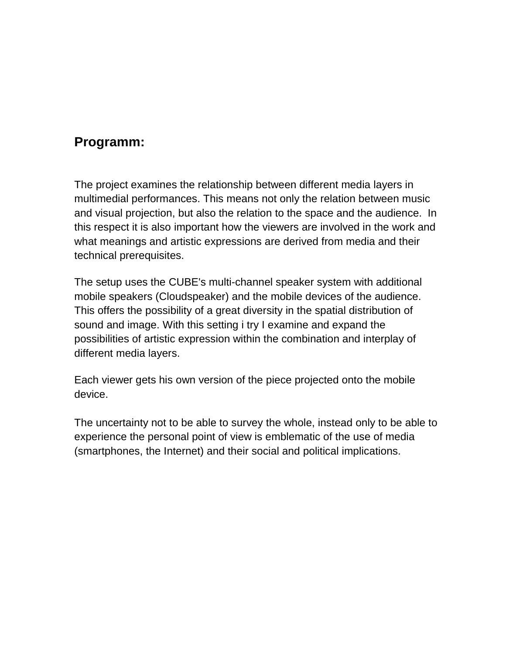## **Programm:**

The project examines the relationship between different media layers in multimedial performances. This means not only the relation between music and visual projection, but also the relation to the space and the audience. In this respect it is also important how the viewers are involved in the work and what meanings and artistic expressions are derived from media and their technical prerequisites.

The setup uses the CUBE's multi-channel speaker system with additional mobile speakers (Cloudspeaker) and the mobile devices of the audience. This offers the possibility of a great diversity in the spatial distribution of sound and image. With this setting i try I examine and expand the possibilities of artistic expression within the combination and interplay of different media layers.

Each viewer gets his own version of the piece projected onto the mobile device.

The uncertainty not to be able to survey the whole, instead only to be able to experience the personal point of view is emblematic of the use of media (smartphones, the Internet) and their social and political implications.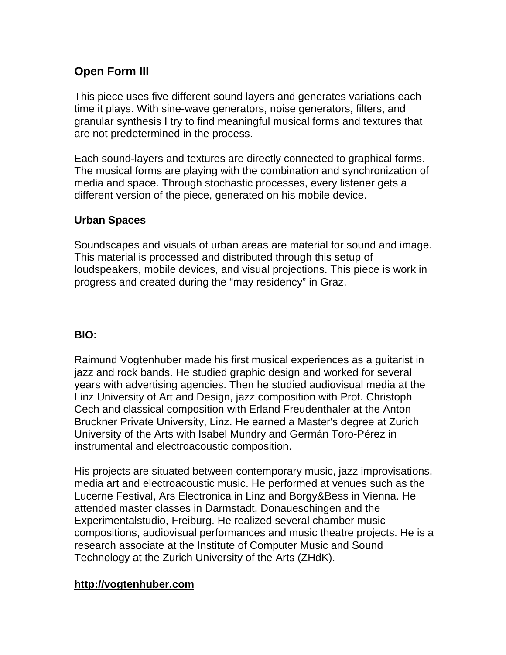### **Open Form III**

This piece uses five different sound layers and generates variations each time it plays. With sine-wave generators, noise generators, filters, and granular synthesis I try to find meaningful musical forms and textures that are not predetermined in the process.

Each sound-layers and textures are directly connected to graphical forms. The musical forms are playing with the combination and synchronization of media and space. Through stochastic processes, every listener gets a different version of the piece, generated on his mobile device.

#### **Urban Spaces**

Soundscapes and visuals of urban areas are material for sound and image. This material is processed and distributed through this setup of loudspeakers, mobile devices, and visual projections. This piece is work in progress and created during the "may residency" in Graz.

#### **BIO:**

Raimund Vogtenhuber made his first musical experiences as a guitarist in jazz and rock bands. He studied graphic design and worked for several years with advertising agencies. Then he studied audiovisual media at the Linz University of Art and Design, jazz composition with Prof. Christoph Cech and classical composition with Erland Freudenthaler at the Anton Bruckner Private University, Linz. He earned a Master's degree at Zurich University of the Arts with Isabel Mundry and Germán Toro-Pérez in instrumental and electroacoustic composition.

His projects are situated between contemporary music, jazz improvisations, media art and electroacoustic music. He performed at venues such as the Lucerne Festival, Ars Electronica in Linz and Borgy&Bess in Vienna. He attended master classes in Darmstadt, Donaueschingen and the Experimentalstudio, Freiburg. He realized several chamber music compositions, audiovisual performances and music theatre projects. He is a research associate at the Institute of Computer Music and Sound Technology at the Zurich University of the Arts (ZHdK).

#### **http://vogtenhuber.com**